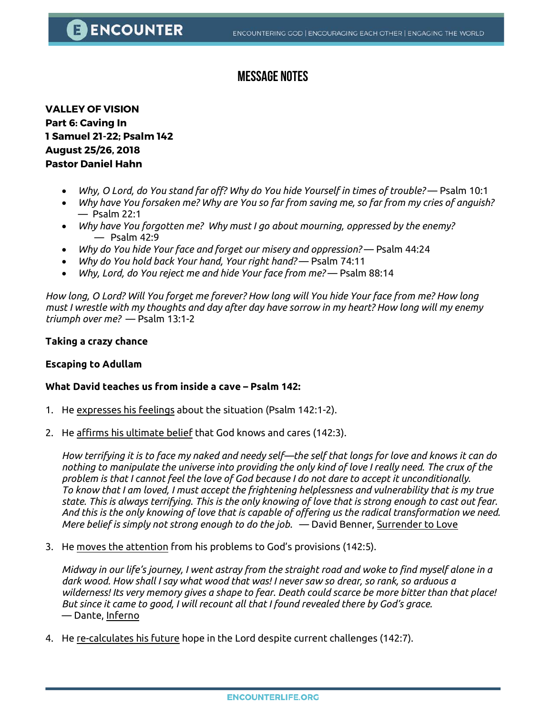### **Message Notes**

**VALLEY OF VISION Part 6: Caving In 1 Samuel 21-22; Psalm 142 August 25/26, 2018 Pastor Daniel Hahn**

- *Why, O Lord, do You stand far off? Why do You hide Yourself in times of trouble?*  Psalm 10:1
- *Why have You forsaken me? Why are You so far from saving me, so far from my cries of anguish?*  — Psalm 22:1
- *Why have You forgotten me? Why must I go about mourning, oppressed by the enemy?*   $-$  Psalm 42:9
- *Why do You hide Your face and forget our misery and oppression?*  Psalm 44:24
- *Why do You hold back Your hand, Your right hand?*  Psalm 74:11
- *Why, Lord, do You reject me and hide Your face from me?*  Psalm 88:14

*How long, O Lord? Will You forget me forever? How long will You hide Your face from me? How long must I wrestle with my thoughts and day after day have sorrow in my heart? How long will my enemy triumph over me?* — Psalm 13:1-2

#### **Taking a crazy chance**

#### **Escaping to Adullam**

#### **What David teaches us from inside a cave – Psalm 142:**

- 1. He expresses his feelings about the situation (Psalm 142:1-2).
- 2. He affirms his ultimate belief that God knows and cares (142:3).

*How terrifying it is to face my naked and needy self—the self that longs for love and knows it can do nothing to manipulate the universe into providing the only kind of love I really need. The crux of the problem is that I cannot feel the love of God because I do not dare to accept it unconditionally. To know that I am loved, I must accept the frightening helplessness and vulnerability that is my true state. This is always terrifying. This is the only knowing of love that is strong enough to cast out fear. And this is the only knowing of love that is capable of offering us the radical transformation we need. Mere belief is simply not strong enough to do the job.* — David Benner, Surrender to Love

3. He moves the attention from his problems to God's provisions (142:5).

*Midway in our life's journey, I went astray from the straight road and woke to find myself alone in a dark wood. How shall I say what wood that was! I never saw so drear, so rank, so arduous a wilderness! Its very memory gives a shape to fear. Death could scarce be more bitter than that place! But since it came to good, I will recount all that I found revealed there by God's grace.*  — Dante, Inferno

4. He re-calculates his future hope in the Lord despite current challenges (142:7).